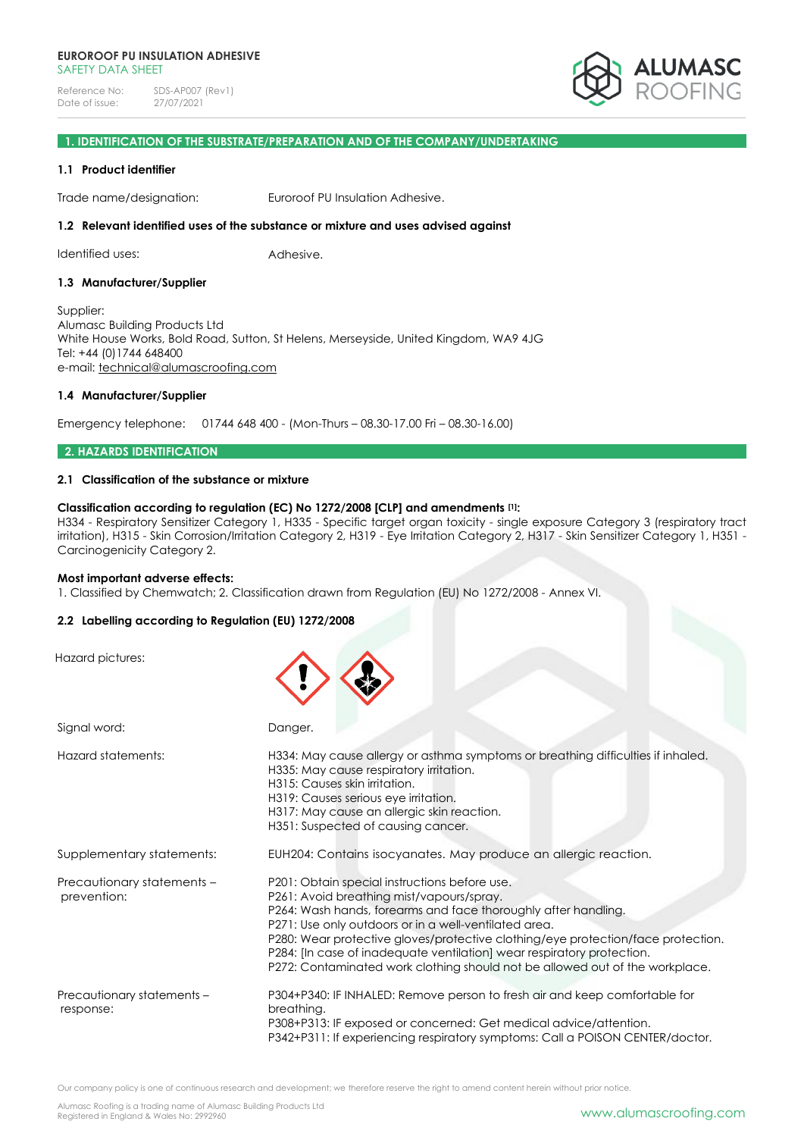

# **1. IDENTIFICATION OF THE SUBSTRATE/PREPARATION AND OF THE COMPANY/UNDERTAKING**

#### **1.1 Product identifier**

Trade name/designation: Euroroof PU Insulation Adhesive.

### **1.2 Relevant identified uses of the substance or mixture and uses advised against**

Identified uses: Adhesive.

#### **1.3 Manufacturer/Supplier**

Supplier: Alumasc Building Products Ltd White House Works, Bold Road, Sutton, St Helens, Merseyside, United Kingdom, WA9 4JG Tel: +44 (0)1744 648400 e-mail: [technical@alumascroofing.com](mailto:technical@alumascroofing.com)

#### **1.4 Manufacturer/Supplier**

Emergency telephone: 01744 648 400 - (Mon-Thurs – 08.30-17.00 Fri – 08.30-16.00)

### **2. HAZARDS IDENTIFICATION**

## **2.1 Classification of the substance or mixture**

### **Classification according to regulation (EC) No 1272/2008 [CLP] and amendments [1]:**

H334 - Respiratory Sensitizer Category 1, H335 - Specific target organ toxicity - single exposure Category 3 (respiratory tract irritation), H315 - Skin Corrosion/Irritation Category 2, H319 - Eye Irritation Category 2, H317 - Skin Sensitizer Category 1, H351 - Carcinogenicity Category 2.

#### **Most important adverse effects:**

1. Classified by Chemwatch; 2. Classification drawn from Regulation (EU) No 1272/2008 - Annex VI.

## **2.2 Labelling according to Regulation (EU) 1272/2008**

Hazard pictures:

| Signal word:                              | Danger.                                                                                                                                                                                                                                                                                                                                                                                                                                                             |
|-------------------------------------------|---------------------------------------------------------------------------------------------------------------------------------------------------------------------------------------------------------------------------------------------------------------------------------------------------------------------------------------------------------------------------------------------------------------------------------------------------------------------|
| Hazard statements:                        | H334: May cause allergy or asthma symptoms or breathing difficulties if inhaled.<br>H335: May cause respiratory irritation.<br>H315: Causes skin irritation.<br>H319: Causes serious eye irritation.<br>H317: May cause an allergic skin reaction.<br>H351: Suspected of causing cancer.                                                                                                                                                                            |
| Supplementary statements:                 | EUH204: Contains isocyanates. May produce an allergic reaction.                                                                                                                                                                                                                                                                                                                                                                                                     |
| Precautionary statements -<br>prevention: | P201: Obtain special instructions before use.<br>P261: Avoid breathing mist/vapours/spray.<br>P264: Wash hands, forearms and face thoroughly after handling.<br>P271: Use only outdoors or in a well-ventilated area.<br>P280: Wear protective gloves/protective clothing/eye protection/face protection.<br>P284: [In case of inadequate ventilation] wear respiratory protection.<br>P272: Contaminated work clothing should not be allowed out of the workplace. |
| Precautionary statements -<br>response:   | P304+P340: IF INHALED: Remove person to fresh air and keep comfortable for<br>breathing.<br>P308+P313: IF exposed or concerned: Get medical advice/attention.<br>P342+P311: If experiencing respiratory symptoms: Call a POISON CENTER/doctor.                                                                                                                                                                                                                      |

Our company policy is one of continuous research and development; we therefore reserve the right to amend content herein without prior notice.

Alumasc Roofing is a trading name of Alumasc Building Products Ltd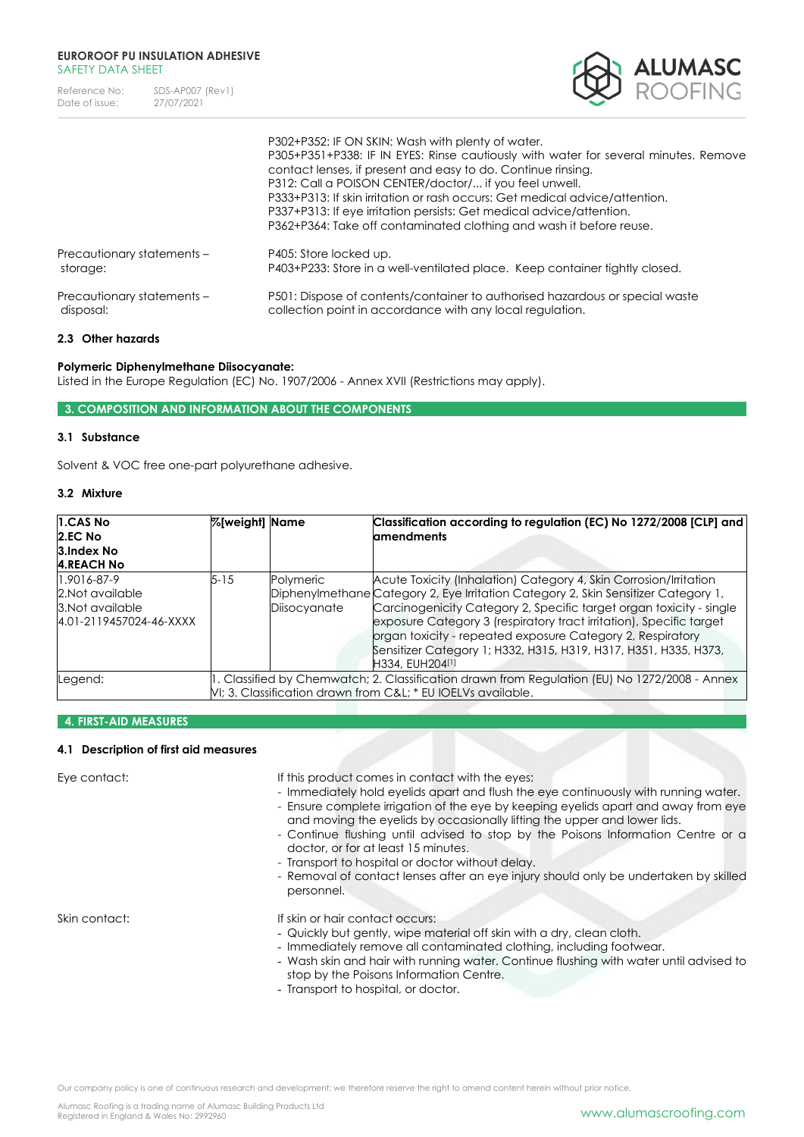| Reference No:  | SDS-AP007 (Rev1) |
|----------------|------------------|
| Date of issue: | 27/07/2021       |



|                            | P302+P352: IF ON SKIN: Wash with plenty of water.<br>P305+P351+P338: IF IN EYES: Rinse cautiously with water for several minutes. Remove<br>contact lenses, if present and easy to do. Continue rinsing.<br>P312: Call a POISON CENTER/doctor/ if you feel unwell.<br>P333+P313: If skin irritation or rash occurs: Get medical advice/attention.<br>P337+P313: If eye irritation persists: Get medical advice/attention.<br>P362+P364: Take off contaminated clothing and wash it before reuse. |  |  |
|----------------------------|--------------------------------------------------------------------------------------------------------------------------------------------------------------------------------------------------------------------------------------------------------------------------------------------------------------------------------------------------------------------------------------------------------------------------------------------------------------------------------------------------|--|--|
| Precautionary statements - | P405: Store locked up.                                                                                                                                                                                                                                                                                                                                                                                                                                                                           |  |  |
| storage:                   | P403+P233: Store in a well-ventilated place. Keep container tightly closed.                                                                                                                                                                                                                                                                                                                                                                                                                      |  |  |
| Precautionary statements - | P501: Dispose of contents/container to authorised hazardous or special waste                                                                                                                                                                                                                                                                                                                                                                                                                     |  |  |
| disposal:                  | collection point in accordance with any local regulation.                                                                                                                                                                                                                                                                                                                                                                                                                                        |  |  |

# **2.3 Other hazards**

## **Polymeric Diphenylmethane Diisocyanate:**

Listed in the Europe Regulation (EC) No. 1907/2006 - Annex XVII (Restrictions may apply).

# **3. COMPOSITION AND INFORMATION ABOUT THE COMPONENTS**

## **3.1 Substance**

Solvent & VOC free one-part polyurethane adhesive.

# **3.2 Mixture**

| 1.CAS No<br>2.EC No<br>3. Index No<br><b>4.REACH No</b>                        | %[weight] Name |                           | Classification according to regulation (EC) No 1272/2008 [CLP] and<br><b>amendments</b>                                                                                                                                                                                                                                                                                                                                                                    |
|--------------------------------------------------------------------------------|----------------|---------------------------|------------------------------------------------------------------------------------------------------------------------------------------------------------------------------------------------------------------------------------------------------------------------------------------------------------------------------------------------------------------------------------------------------------------------------------------------------------|
| 1.9016-87-9<br>2. Not available<br>3. Not available<br>4.01-2119457024-46-XXXX | 5-15           | Polymeric<br>Diisocyanate | Acute Toxicity (Inhalation) Category 4, Skin Corrosion/Irritation<br>Diphenylmethane Category 2, Eye Irritation Category 2, Skin Sensitizer Category 1,<br>Carcinogenicity Category 2, Specific target organ toxicity - single<br>exposure Category 3 (respiratory tract irritation), Specific target<br>organ toxicity - repeated exposure Category 2, Respiratory<br>Sensitizer Category 1; H332, H315, H319, H317, H351, H335, H373,<br>H334, EUH204[1] |
| Legend:                                                                        |                |                           | 1. Classified by Chemwatch; 2. Classification drawn from Regulation (EU) No 1272/2008 - Annex<br>VI; 3. Classification drawn from C&L * EU IOELVs available.                                                                                                                                                                                                                                                                                               |

# **4. FIRST-AID MEASURES**

## **4.1 Description of first aid measures**

Eye contact: If this product comes in contact with the eyes:

- Immediately hold eyelids apart and flush the eye continuously with running water. - Ensure complete irrigation of the eye by keeping eyelids apart and away from eye

- and moving the eyelids by occasionally lifting the upper and lower lids. - Continue flushing until advised to stop by the Poisons Information Centre or a
- doctor, or for at least 15 minutes.
- Transport to hospital or doctor without delay.
- Removal of contact lenses after an eye injury should only be undertaken by skilled personnel.

Skin contact: If skin or hair contact occurs:

- Quickly but gently, wipe material off skin with a dry, clean cloth.
- Immediately remove all contaminated clothing, including footwear.
- Wash skin and hair with running water. Continue flushing with water until advised to stop by the Poisons Information Centre.
- Transport to hospital, or doctor.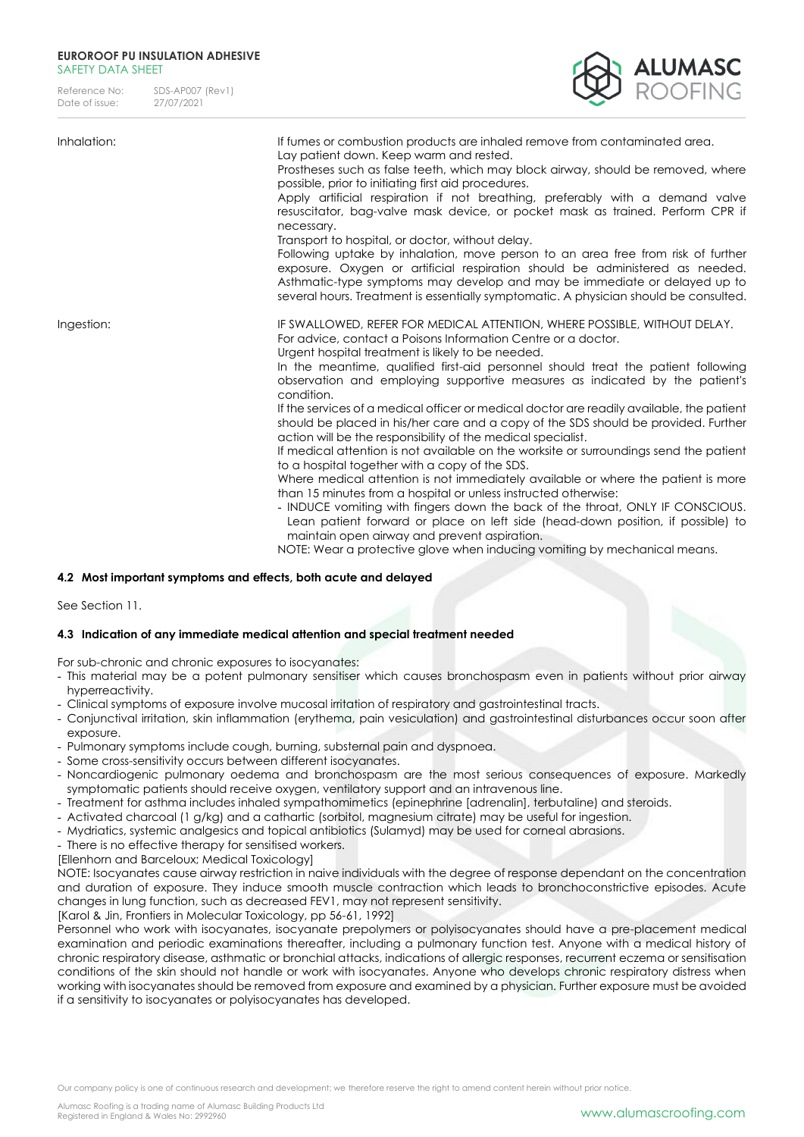Reference No: SDS-AP007 (Rev1)<br>Date of issue: 27/07/2021 Date of issue:



| Inhalation: | If fumes or combustion products are inhaled remove from contaminated area.<br>Lay patient down. Keep warm and rested.<br>Prostheses such as false teeth, which may block airway, should be removed, where<br>possible, prior to initiating first aid procedures.<br>Apply artificial respiration if not breathing, preferably with a demand valve<br>resuscitator, bag-valve mask device, or pocket mask as trained. Perform CPR if<br>necessary.<br>Transport to hospital, or doctor, without delay.<br>Following uptake by inhalation, move person to an area free from risk of further<br>exposure. Oxygen or artificial respiration should be administered as needed.<br>Asthmatic-type symptoms may develop and may be immediate or delayed up to<br>several hours. Treatment is essentially symptomatic. A physician should be consulted.                                                                                                                                                                                                                                                                                                                                                                                            |
|-------------|--------------------------------------------------------------------------------------------------------------------------------------------------------------------------------------------------------------------------------------------------------------------------------------------------------------------------------------------------------------------------------------------------------------------------------------------------------------------------------------------------------------------------------------------------------------------------------------------------------------------------------------------------------------------------------------------------------------------------------------------------------------------------------------------------------------------------------------------------------------------------------------------------------------------------------------------------------------------------------------------------------------------------------------------------------------------------------------------------------------------------------------------------------------------------------------------------------------------------------------------|
| Ingestion:  | IF SWALLOWED, REFER FOR MEDICAL ATTENTION, WHERE POSSIBLE, WITHOUT DELAY.<br>For advice, contact a Poisons Information Centre or a doctor.<br>Urgent hospital treatment is likely to be needed.<br>In the meantime, qualified first-aid personnel should treat the patient following<br>observation and employing supportive measures as indicated by the patient's<br>condition.<br>If the services of a medical officer or medical doctor are readily available, the patient<br>should be placed in his/her care and a copy of the SDS should be provided. Further<br>action will be the responsibility of the medical specialist.<br>If medical attention is not available on the worksite or surroundings send the patient<br>to a hospital together with a copy of the SDS.<br>Where medical attention is not immediately available or where the patient is more<br>than 15 minutes from a hospital or unless instructed otherwise:<br>- INDUCE vomiting with fingers down the back of the throat, ONLY IF CONSCIOUS.<br>Lean patient forward or place on left side (head-down position, if possible) to<br>maintain open airway and prevent aspiration.<br>NOTE: Wear a protective glove when inducing vomiting by mechanical means. |

## **4.2 Most important symptoms and effects, both acute and delayed**

See Section 11.

## **4.3 Indication of any immediate medical attention and special treatment needed**

For sub-chronic and chronic exposures to isocyanates:

- This material may be a potent pulmonary sensitiser which causes bronchospasm even in patients without prior airway hyperreactivity.
- Clinical symptoms of exposure involve mucosal irritation of respiratory and gastrointestinal tracts.
- Conjunctival irritation, skin inflammation (erythema, pain vesiculation) and gastrointestinal disturbances occur soon after exposure.
- Pulmonary symptoms include cough, burning, substernal pain and dyspnoea.
- Some cross-sensitivity occurs between different isocyanates.
- Noncardiogenic pulmonary oedema and bronchospasm are the most serious consequences of exposure. Markedly symptomatic patients should receive oxygen, ventilatory support and an intravenous line.
- Treatment for asthma includes inhaled sympathomimetics (epinephrine [adrenalin], terbutaline) and steroids.
- Activated charcoal (1 g/kg) and a cathartic (sorbitol, magnesium citrate) may be useful for ingestion.
- Mydriatics, systemic analgesics and topical antibiotics (Sulamyd) may be used for corneal abrasions.
- There is no effective therapy for sensitised workers.
- [Ellenhorn and Barceloux; Medical Toxicology]

NOTE: Isocyanates cause airway restriction in naive individuals with the degree of response dependant on the concentration and duration of exposure. They induce smooth muscle contraction which leads to bronchoconstrictive episodes. Acute changes in lung function, such as decreased FEV1, may not represent sensitivity. [Karol & Jin, Frontiers in Molecular Toxicology, pp 56-61, 1992]

Personnel who work with isocyanates, isocyanate prepolymers or polyisocyanates should have a pre-placement medical examination and periodic examinations thereafter, including a pulmonary function test. Anyone with a medical history of chronic respiratory disease, asthmatic or bronchial attacks, indications of allergic responses, recurrent eczema or sensitisation conditions of the skin should not handle or work with isocyanates. Anyone who develops chronic respiratory distress when working with isocyanates should be removed from exposure and examined by a physician. Further exposure must be avoided if a sensitivity to isocyanates or polyisocyanates has developed.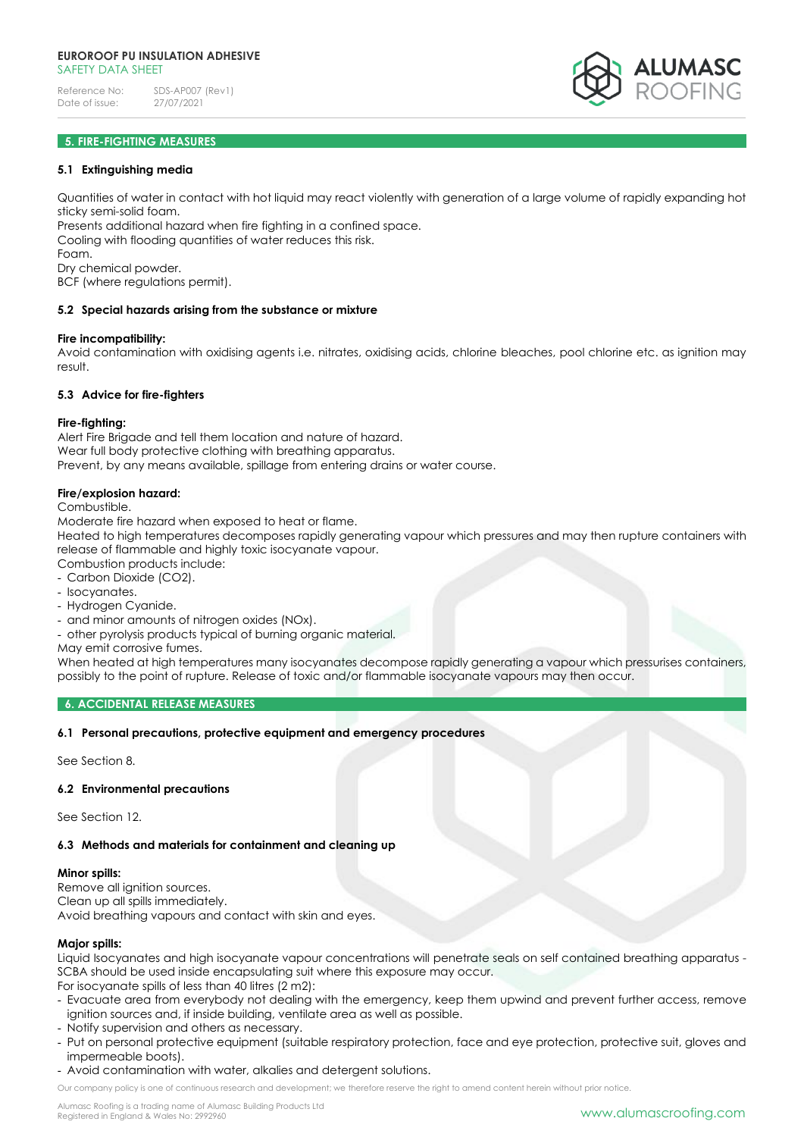

# **5. FIRE-FIGHTING MEASURES**

### **5.1 Extinguishing media**

Quantities of water in contact with hot liquid may react violently with generation of a large volume of rapidly expanding hot sticky semi-solid foam.

Presents additional hazard when fire fighting in a confined space. Cooling with flooding quantities of water reduces this risk. Foam.

Dry chemical powder.

BCF (where regulations permit).

#### **5.2 Special hazards arising from the substance or mixture**

#### **Fire incompatibility:**

Avoid contamination with oxidising agents i.e. nitrates, oxidising acids, chlorine bleaches, pool chlorine etc. as ignition may result.

#### **5.3 Advice for fire-fighters**

#### **Fire-fighting:**

Alert Fire Brigade and tell them location and nature of hazard. Wear full body protective clothing with breathing apparatus. Prevent, by any means available, spillage from entering drains or water course.

#### **Fire/explosion hazard:**

Combustible.

Moderate fire hazard when exposed to heat or flame.

Heated to high temperatures decomposes rapidly generating vapour which pressures and may then rupture containers with release of flammable and highly toxic isocyanate vapour.

Combustion products include:

- Carbon Dioxide (CO2).
- Isocyanates.
- Hydrogen Cyanide.
- and minor amounts of nitrogen oxides (NOx).
- other pyrolysis products typical of burning organic material.

May emit corrosive fumes.

When heated at high temperatures many isocyanates decompose rapidly generating a vapour which pressurises containers, possibly to the point of rupture. Release of toxic and/or flammable isocyanate vapours may then occur.

#### **6. ACCIDENTAL RELEASE MEASURES**

## **6.1 Personal precautions, protective equipment and emergency procedures**

See Section 8.

## **6.2 Environmental precautions**

See Section 12.

## **6.3 Methods and materials for containment and cleaning up**

#### **Minor spills:**

Remove all ignition sources. Clean up all spills immediately. Avoid breathing vapours and contact with skin and eyes.

#### **Major spills:**

Liquid Isocyanates and high isocyanate vapour concentrations will penetrate seals on self contained breathing apparatus - SCBA should be used inside encapsulating suit where this exposure may occur.

For isocyanate spills of less than 40 litres (2 m2):

- Evacuate area from everybody not dealing with the emergency, keep them upwind and prevent further access, remove ignition sources and, if inside building, ventilate area as well as possible.
- Notify supervision and others as necessary.
- Put on personal protective equipment (suitable respiratory protection, face and eye protection, protective suit, gloves and impermeable boots).
- Avoid contamination with water, alkalies and detergent solutions.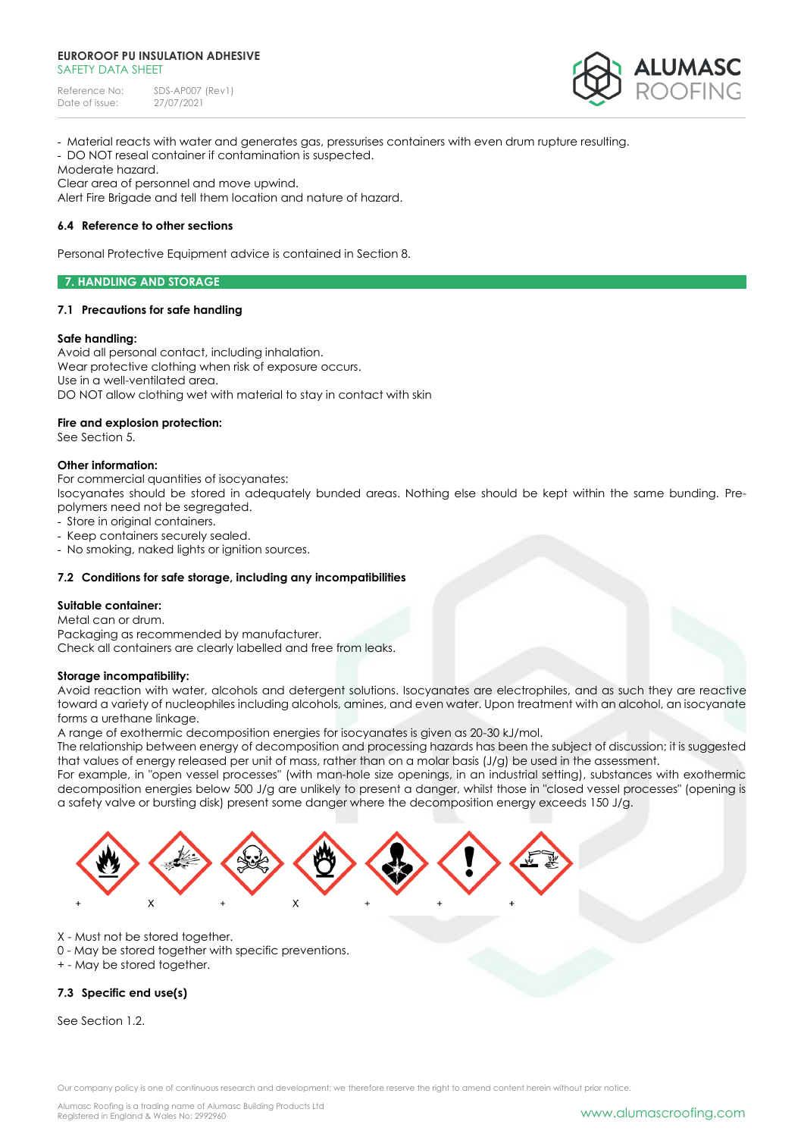Reference No: SDS-AP007 (Rev1)<br>Date of issue: 27/07/2021 Date of issue:



- Material reacts with water and generates gas, pressurises containers with even drum rupture resulting.

- DO NOT reseal container if contamination is suspected.

Moderate hazard.

Clear area of personnel and move upwind. Alert Fire Brigade and tell them location and nature of hazard.

# **6.4 Reference to other sections**

Personal Protective Equipment advice is contained in Section 8.

## **7. HANDLING AND STORAGE**

## **7.1 Precautions for safe handling**

## **Safe handling:**

Avoid all personal contact, including inhalation. Wear protective clothing when risk of exposure occurs. Use in a well-ventilated area. DO NOT allow clothing wet with material to stay in contact with skin

**Fire and explosion protection:**

See Section 5.

## **Other information:**

For commercial quantities of isocyanates:

Isocyanates should be stored in adequately bunded areas. Nothing else should be kept within the same bunding. Prepolymers need not be segregated.

- Store in original containers.

- Keep containers securely sealed.
- No smoking, naked lights or ignition sources.

# **7.2 Conditions for safe storage, including any incompatibilities**

## **Suitable container:**

Metal can or drum. Packaging as recommended by manufacturer. Check all containers are clearly labelled and free from leaks.

## **Storage incompatibility:**

Avoid reaction with water, alcohols and detergent solutions. Isocyanates are electrophiles, and as such they are reactive toward a variety of nucleophiles including alcohols, amines, and even water. Upon treatment with an alcohol, an isocyanate forms a urethane linkage.

A range of exothermic decomposition energies for isocyanates is given as 20-30 kJ/mol.

The relationship between energy of decomposition and processing hazards has been the subject of discussion; it is suggested that values of energy released per unit of mass, rather than on a molar basis (J/g) be used in the assessment.

For example, in "open vessel processes" (with man-hole size openings, in an industrial setting), substances with exothermic decomposition energies below 500 J/g are unlikely to present a danger, whilst those in "closed vessel processes" (opening is a safety valve or bursting disk) present some danger where the decomposition energy exceeds 150 J/g.



- X Must not be stored together.
- 0 May be stored together with specific preventions.
- + May be stored together.

# **7.3 Specific end use(s)**

See Section 1.2.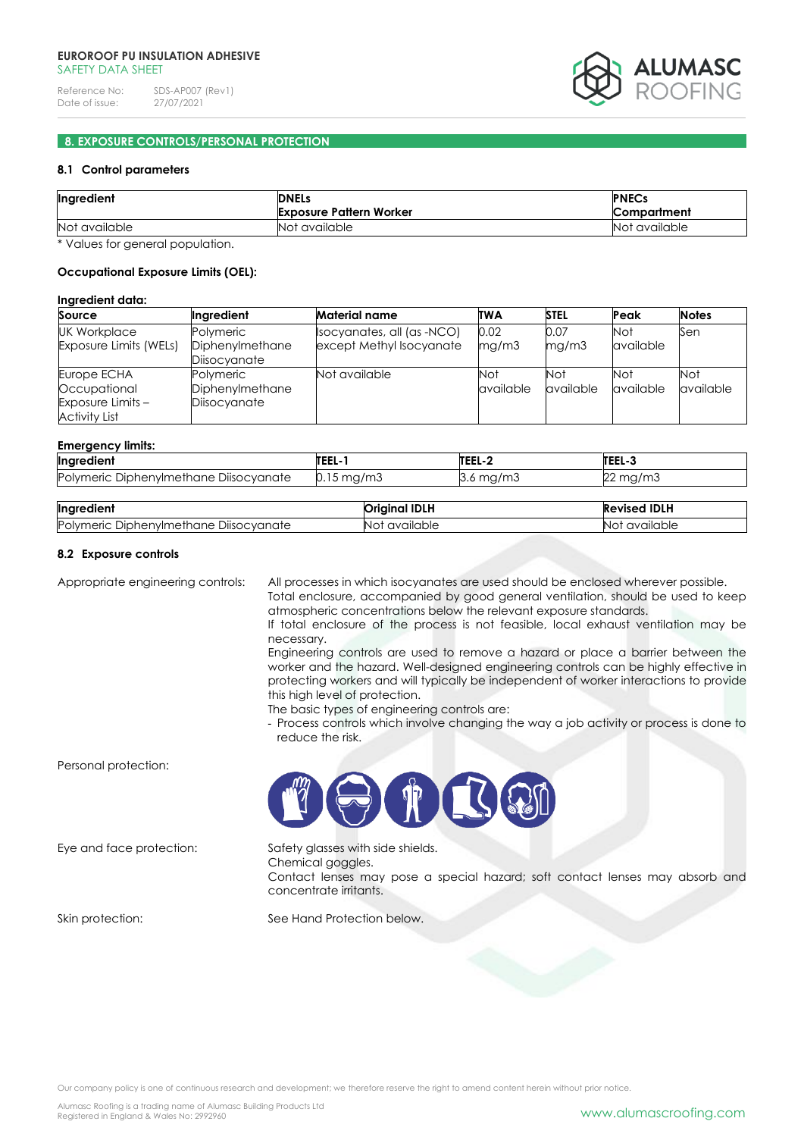

# **8. EXPOSURE CONTROLS/PERSONAL PROTECTION**

## **8.1 Control parameters**

| <b>DNELs</b>                   | <b>PNECs</b>  |
|--------------------------------|---------------|
| <b>Exposure Pattern Worker</b> | Compartment   |
| Not available                  | Not available |
|                                |               |

\* Values for general population.

## **Occupational Exposure Limits (OEL):**

## **Ingredient data:**

| Source                 | Ingredient      | <b>Material name</b>       | <b>TWA</b> | <b>STEL</b> | Peak      | <b>Notes</b> |
|------------------------|-----------------|----------------------------|------------|-------------|-----------|--------------|
| <b>UK Workplace</b>    | Polymeric       | Isocyanates, all (as -NCO) | 0.02       | 0.07        | Not       | Sen          |
| Exposure Limits (WELs) | Diphenylmethane | except Methyl Isocyanate   | mg/m3      | mq/m3       | available |              |
|                        | Diisocyanate    |                            |            |             |           |              |
| Europe ECHA            | Polymeric       | Not available              | Not        | <b>Not</b>  | Not       | Not          |
| Occupational           | Diphenylmethane |                            | available  | available   | available | available    |
| Exposure Limits -      | Diisocyanate    |                            |            |             |           |              |
| <b>Activity List</b>   |                 |                            |            |             |           |              |

#### **Emergency limits:**

|                                              | <b>TEEL-</b>            | TEEL-2       | <b>TEEL</b>           |
|----------------------------------------------|-------------------------|--------------|-----------------------|
| Ingredient                                   |                         |              | IEEL-J                |
| Polymeric<br>Diisocvanate<br>Diphenvimethane | $0.15 \,\mathrm{mg/m3}$ | mg/m3<br>◡.◡ | $\sim$<br>mg/m3<br>∠∠ |

| Ingredient                                       | <b>IDLH</b><br>Priainal . | <b>Revised IDLH</b> |
|--------------------------------------------------|---------------------------|---------------------|
| -<br>Polymeric<br>: Diphenvlmethane Diisocvanate | available<br>NO.          | available<br>NΟ     |

## **8.2 Exposure controls**

Appropriate engineering controls: All processes in which isocyanates are used should be enclosed wherever possible. Total enclosure, accompanied by good general ventilation, should be used to keep

atmospheric concentrations below the relevant exposure standards. If total enclosure of the process is not feasible, local exhaust ventilation may be

necessary. Engineering controls are used to remove a hazard or place a barrier between the worker and the hazard. Well-designed engineering controls can be highly effective in protecting workers and will typically be independent of worker interactions to provide this high level of protection.

The basic types of engineering controls are:

- Process controls which involve changing the way a job activity or process is done to reduce the risk.

Personal protection:

Eye and face protection: Safety glasses with side shields. Chemical goggles.

Contact lenses may pose a special hazard; soft contact lenses may absorb and concentrate irritants.

Skin protection: See Hand Protection below.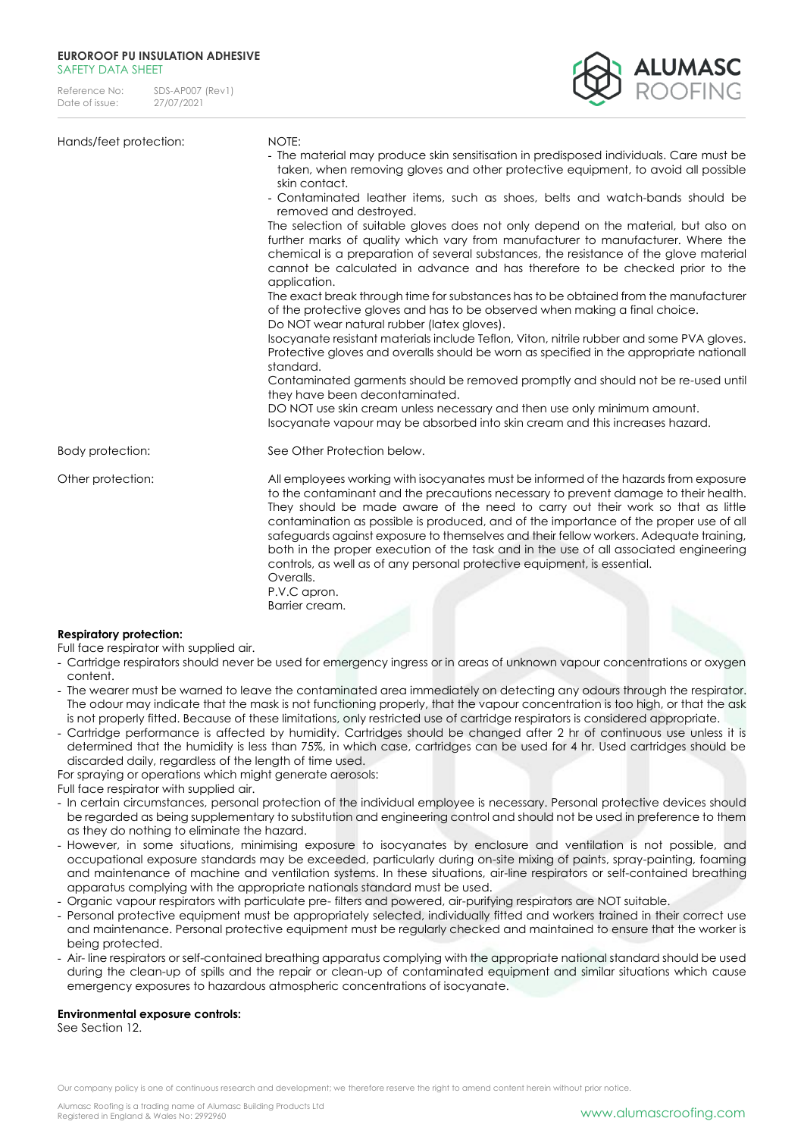| Reference No:  | SDS-AP007 (Rev1) |
|----------------|------------------|
| Date of issue: | 27/07/2021       |



| Hands/feet protection:         | NOTE:<br>- The material may produce skin sensitisation in predisposed individuals. Care must be<br>taken, when removing gloves and other protective equipment, to avoid all possible<br>skin contact.<br>- Contaminated leather items, such as shoes, belts and watch-bands should be<br>removed and destroyed.<br>The selection of suitable gloves does not only depend on the material, but also on<br>further marks of quality which vary from manufacturer to manufacturer. Where the<br>chemical is a preparation of several substances, the resistance of the glove material<br>cannot be calculated in advance and has therefore to be checked prior to the<br>application.<br>The exact break through time for substances has to be obtained from the manufacturer<br>of the protective gloves and has to be observed when making a final choice.<br>Do NOT wear natural rubber (latex gloves).<br>Isocyanate resistant materials include Teflon, Viton, nitrile rubber and some PVA gloves.<br>Protective gloves and overalls should be worn as specified in the appropriate nationall<br>standard.<br>Contaminated garments should be removed promptly and should not be re-used until<br>they have been decontaminated.<br>DO NOT use skin cream unless necessary and then use only minimum amount.<br>Isocyanate vapour may be absorbed into skin cream and this increases hazard. |
|--------------------------------|------------------------------------------------------------------------------------------------------------------------------------------------------------------------------------------------------------------------------------------------------------------------------------------------------------------------------------------------------------------------------------------------------------------------------------------------------------------------------------------------------------------------------------------------------------------------------------------------------------------------------------------------------------------------------------------------------------------------------------------------------------------------------------------------------------------------------------------------------------------------------------------------------------------------------------------------------------------------------------------------------------------------------------------------------------------------------------------------------------------------------------------------------------------------------------------------------------------------------------------------------------------------------------------------------------------------------------------------------------------------------------------------|
| Body protection:               | See Other Protection below.                                                                                                                                                                                                                                                                                                                                                                                                                                                                                                                                                                                                                                                                                                                                                                                                                                                                                                                                                                                                                                                                                                                                                                                                                                                                                                                                                                    |
| Other protection:              | All employees working with isocyanates must be informed of the hazards from exposure<br>to the contaminant and the precautions necessary to prevent damage to their health.<br>They should be made aware of the need to carry out their work so that as little<br>contamination as possible is produced, and of the importance of the proper use of all<br>safeguards against exposure to themselves and their fellow workers. Adequate training,<br>both in the proper execution of the task and in the use of all associated engineering<br>controls, as well as of any personal protective equipment, is essential.<br>Overalls.<br>P.V.C apron.<br>Barrier cream.                                                                                                                                                                                                                                                                                                                                                                                                                                                                                                                                                                                                                                                                                                                          |
| <b>Respiratory protection:</b> |                                                                                                                                                                                                                                                                                                                                                                                                                                                                                                                                                                                                                                                                                                                                                                                                                                                                                                                                                                                                                                                                                                                                                                                                                                                                                                                                                                                                |

Full face respirator with supplied air.

- Cartridge respirators should never be used for emergency ingress or in areas of unknown vapour concentrations or oxygen content.
- The wearer must be warned to leave the contaminated area immediately on detecting any odours through the respirator. The odour may indicate that the mask is not functioning properly, that the vapour concentration is too high, or that the ask is not properly fitted. Because of these limitations, only restricted use of cartridge respirators is considered appropriate.
- Cartridge performance is affected by humidity. Cartridges should be changed after 2 hr of continuous use unless it is determined that the humidity is less than 75%, in which case, cartridges can be used for 4 hr. Used cartridges should be discarded daily, regardless of the length of time used.

For spraying or operations which might generate aerosols:

Full face respirator with supplied air.

- In certain circumstances, personal protection of the individual employee is necessary. Personal protective devices should be regarded as being supplementary to substitution and engineering control and should not be used in preference to them as they do nothing to eliminate the hazard.
- However, in some situations, minimising exposure to isocyanates by enclosure and ventilation is not possible, and occupational exposure standards may be exceeded, particularly during on-site mixing of paints, spray-painting, foaming and maintenance of machine and ventilation systems. In these situations, air-line respirators or self-contained breathing apparatus complying with the appropriate nationals standard must be used.
- Organic vapour respirators with particulate pre- filters and powered, air-purifying respirators are NOT suitable.
- Personal protective equipment must be appropriately selected, individually fitted and workers trained in their correct use and maintenance. Personal protective equipment must be regularly checked and maintained to ensure that the worker is being protected.
- Air- line respirators or self-contained breathing apparatus complying with the appropriate national standard should be used during the clean-up of spills and the repair or clean-up of contaminated equipment and similar situations which cause emergency exposures to hazardous atmospheric concentrations of isocyanate.

# **Environmental exposure controls:**

See Section 12.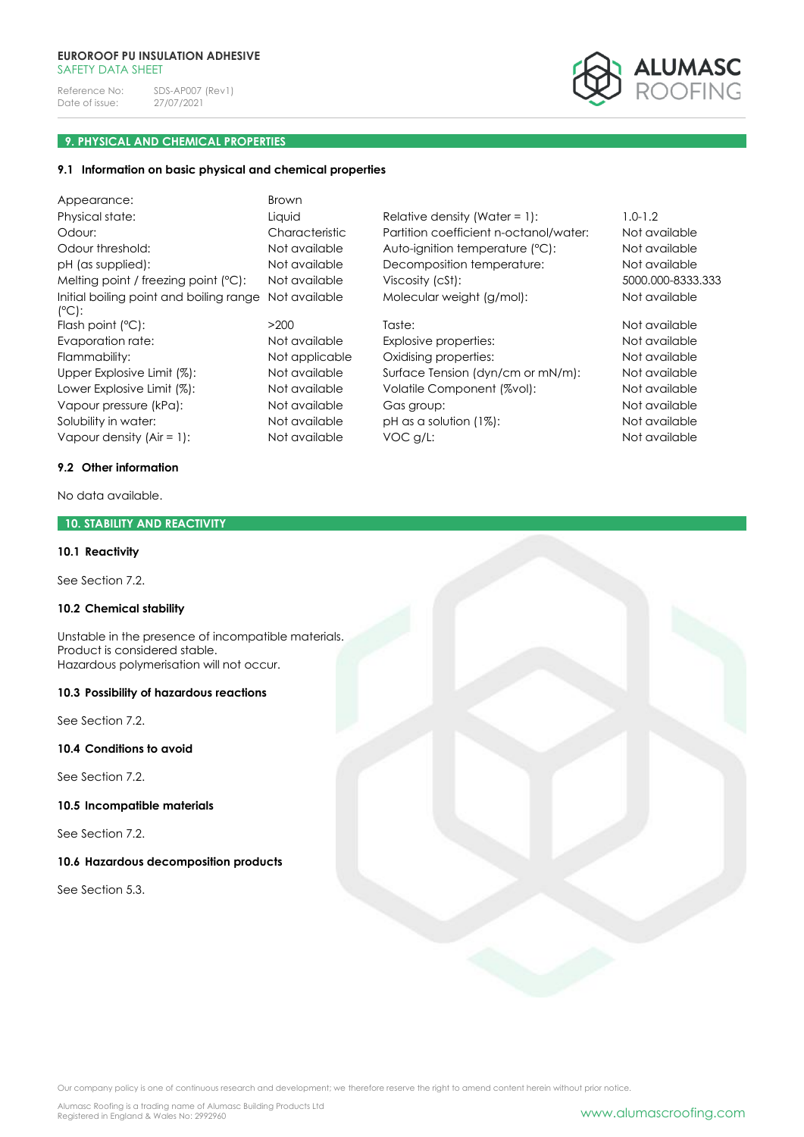Reference No: SDS-AP007 (Rev1)<br>Date of issue: 27/07/2021 Date of issue:

<mark>alumasc</mark><br>Roofing

# **9. PHYSICAL AND CHEMICAL PROPERTIES**

# **9.1 Information on basic physical and chemical properties**

| Appearance:                                        | <b>Brown</b>   |                                        |                   |
|----------------------------------------------------|----------------|----------------------------------------|-------------------|
| Physical state:                                    | Liquid         | Relative density (Water = 1):          | $1.0 - 1.2$       |
| Odour:                                             | Characteristic | Partition coefficient n-octanol/water: | Not available     |
| Odour threshold:                                   | Not available  | Auto-ignition temperature (°C):        | Not available     |
| pH (as supplied):                                  | Not available  | Decomposition temperature:             | Not available     |
| Melting point / freezing point (°C):               | Not available  | Viscosity (cSt):                       | 5000.000-8333.333 |
| Initial boiling point and boiling range<br>$(C)$ : | Not available  | Molecular weight (g/mol):              | Not available     |
| Flash point $(°C)$ :                               | >200           | Taste:                                 | Not available     |
| Evaporation rate:                                  | Not available  | Explosive properties:                  | Not available     |
| Flammability:                                      | Not applicable | Oxidising properties:                  | Not available     |
| Upper Explosive Limit (%):                         | Not available  | Surface Tension (dyn/cm or mN/m):      | Not available     |
| Lower Explosive Limit (%):                         | Not available  | Volatile Component (%vol):             | Not available     |
| Vapour pressure (kPa):                             | Not available  | Gas group:                             | Not available     |
| Solubility in water:                               | Not available  | $pH$ as a solution $(1\%)$ :           | Not available     |
| Vapour density $(Air = 1)$ :                       | Not available  | VOC g/L:                               | Not available     |

# **9.2 Other information**

No data available.

# **10. STABILITY AND REACTIVITY**

### **10.1 Reactivity**

See Section 7.2.

### **10.2 Chemical stability**

Unstable in the presence of incompatible materials. Product is considered stable. Hazardous polymerisation will not occur.

#### **10.3 Possibility of hazardous reactions**

See Section 7.2.

**10.4 Conditions to avoid**

See Section 7.2.

# **10.5 Incompatible materials**

See Section 7.2.

# **10.6 Hazardous decomposition products**

See Section 5.3.

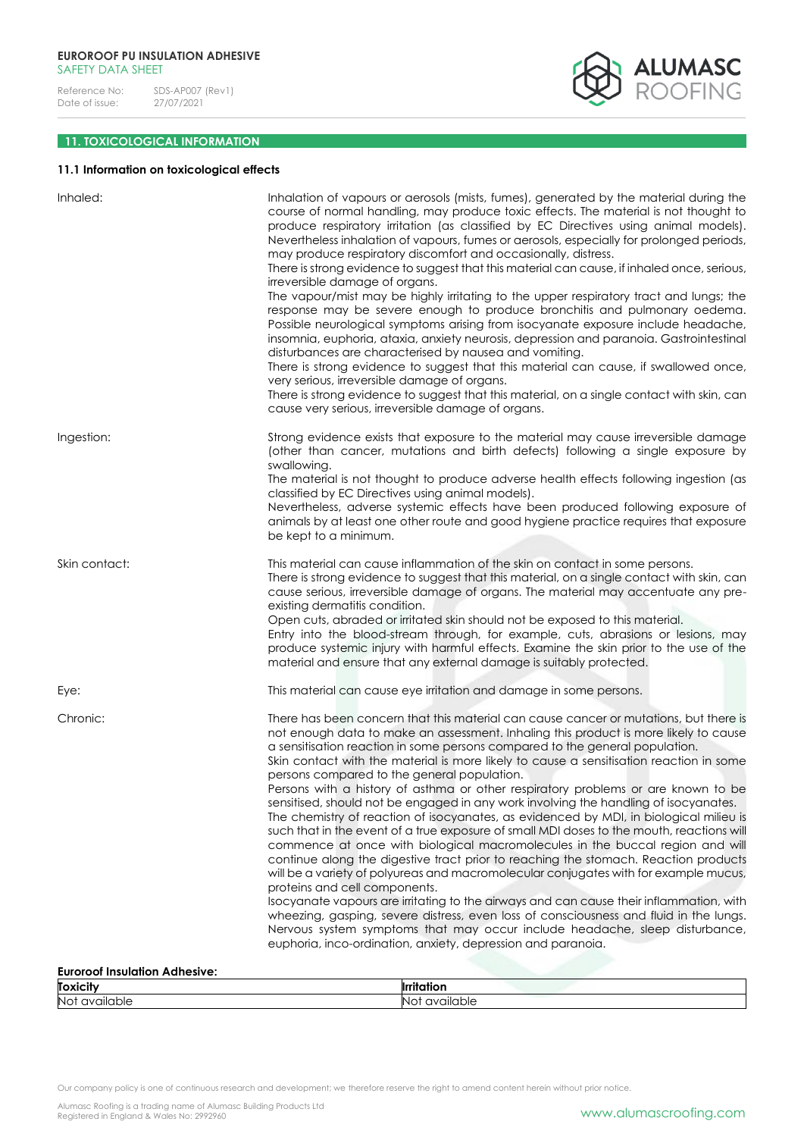

# **11. TOXICOLOGICAL INFORMATION**

# **11.1 Information on toxicological effects**

| Inhaled:                             | Inhalation of vapours or aerosols (mists, fumes), generated by the material during the<br>course of normal handling, may produce toxic effects. The material is not thought to<br>produce respiratory irritation (as classified by EC Directives using animal models).<br>Nevertheless inhalation of vapours, fumes or aerosols, especially for prolonged periods,<br>may produce respiratory discomfort and occasionally, distress.<br>There is strong evidence to suggest that this material can cause, if inhaled once, serious,<br>irreversible damage of organs.<br>The vapour/mist may be highly irritating to the upper respiratory tract and lungs; the<br>response may be severe enough to produce bronchitis and pulmonary oedema.<br>Possible neurological symptoms arising from isocyanate exposure include headache,<br>insomnia, euphoria, ataxia, anxiety neurosis, depression and paranoia. Gastrointestinal<br>disturbances are characterised by nausea and vomiting.<br>There is strong evidence to suggest that this material can cause, if swallowed once,<br>very serious, irreversible damage of organs.<br>There is strong evidence to suggest that this material, on a single contact with skin, can<br>cause very serious, irreversible damage of organs.                                                                                                                               |
|--------------------------------------|------------------------------------------------------------------------------------------------------------------------------------------------------------------------------------------------------------------------------------------------------------------------------------------------------------------------------------------------------------------------------------------------------------------------------------------------------------------------------------------------------------------------------------------------------------------------------------------------------------------------------------------------------------------------------------------------------------------------------------------------------------------------------------------------------------------------------------------------------------------------------------------------------------------------------------------------------------------------------------------------------------------------------------------------------------------------------------------------------------------------------------------------------------------------------------------------------------------------------------------------------------------------------------------------------------------------------------------------------------------------------------------------------------------|
| Ingestion:                           | Strong evidence exists that exposure to the material may cause irreversible damage<br>(other than cancer, mutations and birth defects) following a single exposure by<br>swallowing.<br>The material is not thought to produce adverse health effects following ingestion (as<br>classified by EC Directives using animal models).<br>Nevertheless, adverse systemic effects have been produced following exposure of<br>animals by at least one other route and good hygiene practice requires that exposure<br>be kept to a minimum.                                                                                                                                                                                                                                                                                                                                                                                                                                                                                                                                                                                                                                                                                                                                                                                                                                                                           |
| Skin contact:                        | This material can cause inflammation of the skin on contact in some persons.<br>There is strong evidence to suggest that this material, on a single contact with skin, can<br>cause serious, irreversible damage of organs. The material may accentuate any pre-<br>existing dermatitis condition.<br>Open cuts, abraded or irritated skin should not be exposed to this material.<br>Entry into the blood-stream through, for example, cuts, abrasions or lesions, may<br>produce systemic injury with harmful effects. Examine the skin prior to the use of the<br>material and ensure that any external damage is suitably protected.                                                                                                                                                                                                                                                                                                                                                                                                                                                                                                                                                                                                                                                                                                                                                                         |
| Eye:                                 | This material can cause eye irritation and damage in some persons.                                                                                                                                                                                                                                                                                                                                                                                                                                                                                                                                                                                                                                                                                                                                                                                                                                                                                                                                                                                                                                                                                                                                                                                                                                                                                                                                               |
| Chronic:                             | There has been concern that this material can cause cancer or mutations, but there is<br>not enough data to make an assessment. Inhaling this product is more likely to cause<br>a sensitisation reaction in some persons compared to the general population.<br>Skin contact with the material is more likely to cause a sensitisation reaction in some<br>persons compared to the general population.<br>Persons with a history of asthma or other respiratory problems or are known to be<br>sensitised, should not be engaged in any work involving the handling of isocyanates.<br>The chemistry of reaction of isocyanates, as evidenced by MDI, in biological milieu is<br>such that in the event of a true exposure of small MDI doses to the mouth, reactions will<br>commence at once with biological macromolecules in the buccal region and will<br>continue along the digestive tract prior to reaching the stomach. Reaction products<br>will be a variety of polyureas and macromolecular conjugates with for example mucus,<br>proteins and cell components.<br>Isocyanate vapours are irritating to the airways and can cause their inflammation, with<br>wheezing, gasping, severe distress, even loss of consciousness and fluid in the lungs.<br>Nervous system symptoms that may occur include headache, sleep disturbance,<br>euphoria, inco-ordination, anxiety, depression and paranoia. |
| <b>Euroroof Insulation Adhesive:</b> |                                                                                                                                                                                                                                                                                                                                                                                                                                                                                                                                                                                                                                                                                                                                                                                                                                                                                                                                                                                                                                                                                                                                                                                                                                                                                                                                                                                                                  |

| <b>Toxicit</b>         | וסוזר          |
|------------------------|----------------|
| <b>No</b><br>available | ivailabl<br>٦ı |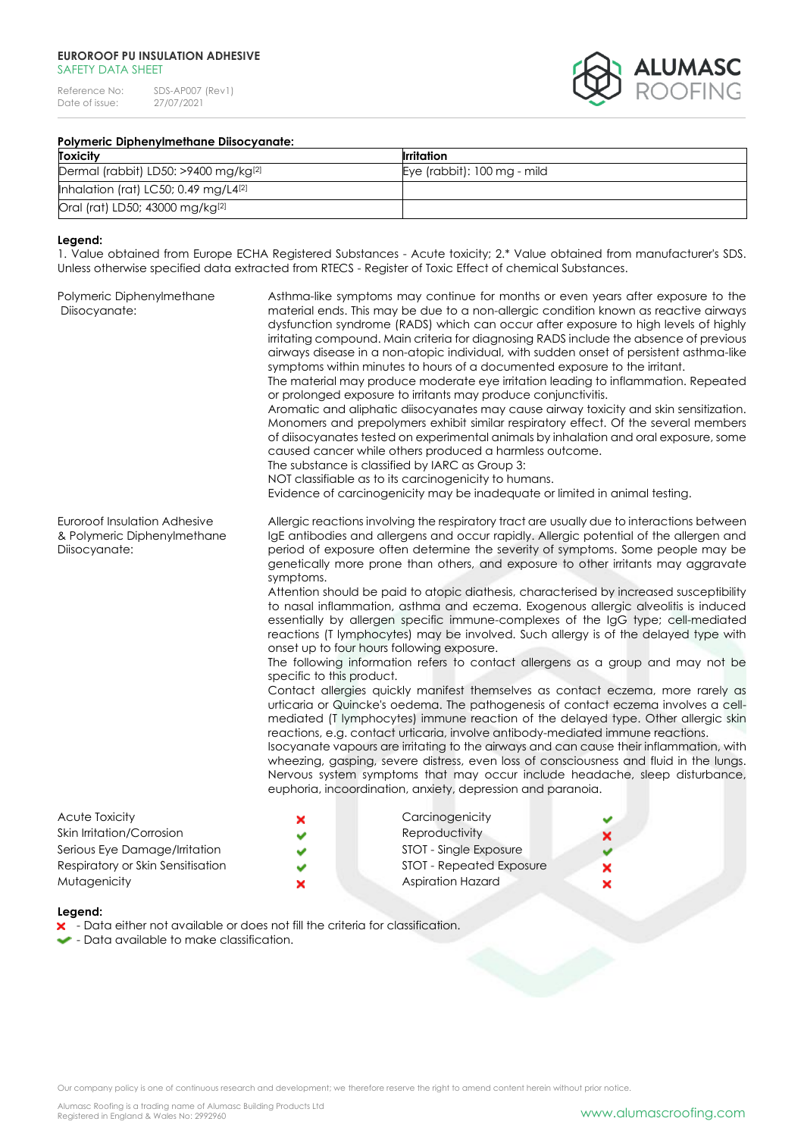Reference No: SDS-AP007 (Rev1)<br>Date of issue: 27/07/2021 Date of issue:



# **Polymeric Diphenylmethane Diisocyanate:**

| <b>Toxicity</b>                             | <b>Irritation</b>           |
|---------------------------------------------|-----------------------------|
| Dermal (rabbit) LD50: >9400 mg/kg[2]        | Eye (rabbit): 100 mg - mild |
| Inhalation (rat) LC50; 0.49 mg/L4 $[2]$     |                             |
| Oral (rat) LD50; 43000 mg/kg <sup>[2]</sup> |                             |

#### **Legend:**

1. Value obtained from Europe ECHA Registered Substances - Acute toxicity; 2.\* Value obtained from manufacturer's SDS. Unless otherwise specified data extracted from RTECS - Register of Toxic Effect of chemical Substances.

| Polymeric Diphenylmethane<br>Diisocyanate:                                   |                                                                                                                                                                                                                                                                                                                                                                                                                                                                                                                                                                                                                                                                                                                                                                                                                                                                                                                                                                                                                                                                                                                                                                                                                                                                                                                                                                                                                                                                                                                                                                                        | Asthma-like symptoms may continue for months or even years after exposure to the<br>material ends. This may be due to a non-allergic condition known as reactive airways<br>dysfunction syndrome (RADS) which can occur after exposure to high levels of highly<br>irritating compound. Main criteria for diagnosing RADS include the absence of previous<br>airways disease in a non-atopic individual, with sudden onset of persistent asthma-like<br>symptoms within minutes to hours of a documented exposure to the irritant.<br>The material may produce moderate eye irritation leading to inflammation. Repeated<br>or prolonged exposure to irritants may produce conjunctivitis.<br>Aromatic and aliphatic diisocyanates may cause airway toxicity and skin sensitization.<br>Monomers and prepolymers exhibit similar respiratory effect. Of the several members<br>of diisocyanates tested on experimental animals by inhalation and oral exposure, some<br>caused cancer while others produced a harmless outcome.<br>The substance is classified by IARC as Group 3:<br>NOT classifiable as to its carcinogenicity to humans.<br>Evidence of carcinogenicity may be inadequate or limited in animal testing. |        |
|------------------------------------------------------------------------------|----------------------------------------------------------------------------------------------------------------------------------------------------------------------------------------------------------------------------------------------------------------------------------------------------------------------------------------------------------------------------------------------------------------------------------------------------------------------------------------------------------------------------------------------------------------------------------------------------------------------------------------------------------------------------------------------------------------------------------------------------------------------------------------------------------------------------------------------------------------------------------------------------------------------------------------------------------------------------------------------------------------------------------------------------------------------------------------------------------------------------------------------------------------------------------------------------------------------------------------------------------------------------------------------------------------------------------------------------------------------------------------------------------------------------------------------------------------------------------------------------------------------------------------------------------------------------------------|----------------------------------------------------------------------------------------------------------------------------------------------------------------------------------------------------------------------------------------------------------------------------------------------------------------------------------------------------------------------------------------------------------------------------------------------------------------------------------------------------------------------------------------------------------------------------------------------------------------------------------------------------------------------------------------------------------------------------------------------------------------------------------------------------------------------------------------------------------------------------------------------------------------------------------------------------------------------------------------------------------------------------------------------------------------------------------------------------------------------------------------------------------------------------------------------------------------------------|--------|
| Euroroof Insulation Adhesive<br>& Polymeric Diphenylmethane<br>Diisocyanate: | Allergic reactions involving the respiratory tract are usually due to interactions between<br>IgE antibodies and allergens and occur rapidly. Allergic potential of the allergen and<br>period of exposure often determine the severity of symptoms. Some people may be<br>genetically more prone than others, and exposure to other irritants may aggravate<br>symptoms.<br>Attention should be paid to atopic diathesis, characterised by increased susceptibility<br>to nasal inflammation, asthma and eczema. Exogenous allergic alveolitis is induced<br>essentially by allergen specific immune-complexes of the IgG type; cell-mediated<br>reactions (T lymphocytes) may be involved. Such allergy is of the delayed type with<br>onset up to four hours following exposure.<br>The following information refers to contact allergens as a group and may not be<br>specific to this product.<br>Contact allergies quickly manifest themselves as contact eczema, more rarely as<br>urticaria or Quincke's oedema. The pathogenesis of contact eczema involves a cell-<br>mediated (T lymphocytes) immune reaction of the delayed type. Other allergic skin<br>reactions, e.g. contact urticaria, involve antibody-mediated immune reactions.<br>Isocyanate vapours are irritating to the airways and can cause their inflammation, with<br>wheezing, gasping, severe distress, even loss of consciousness and fluid in the lungs.<br>Nervous system symptoms that may occur include headache, sleep disturbance,<br>euphoria, incoordination, anxiety, depression and paranoia. |                                                                                                                                                                                                                                                                                                                                                                                                                                                                                                                                                                                                                                                                                                                                                                                                                                                                                                                                                                                                                                                                                                                                                                                                                            |        |
| Acute Toxicity<br>Skin Irritation/Corrosion<br>Serious Eye Damage/Irritation | ×                                                                                                                                                                                                                                                                                                                                                                                                                                                                                                                                                                                                                                                                                                                                                                                                                                                                                                                                                                                                                                                                                                                                                                                                                                                                                                                                                                                                                                                                                                                                                                                      | Carcinogenicity<br>Reproductivity<br>STOT - Single Exposure                                                                                                                                                                                                                                                                                                                                                                                                                                                                                                                                                                                                                                                                                                                                                                                                                                                                                                                                                                                                                                                                                                                                                                | ×      |
| Respiratory or Skin Sensitisation<br>Mutagenicity                            |                                                                                                                                                                                                                                                                                                                                                                                                                                                                                                                                                                                                                                                                                                                                                                                                                                                                                                                                                                                                                                                                                                                                                                                                                                                                                                                                                                                                                                                                                                                                                                                        | <b>STOT - Repeated Exposure</b><br><b>Aspiration Hazard</b>                                                                                                                                                                                                                                                                                                                                                                                                                                                                                                                                                                                                                                                                                                                                                                                                                                                                                                                                                                                                                                                                                                                                                                | ×<br>× |

#### **Legend:**

- Data either not available or does not fill the criteria for classification.
- $\bullet$  Data available to make classification.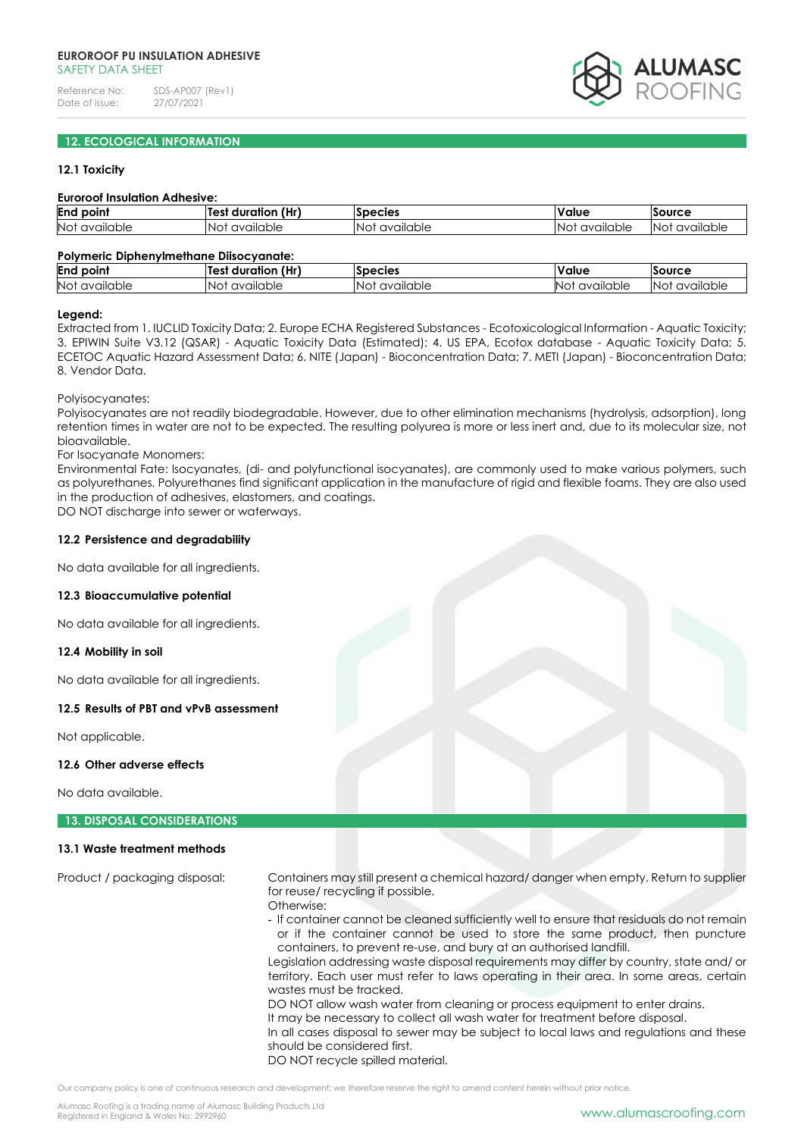

# **12. ECOLOGICAL INFORMATION**

## **12.1 Toxicity**

#### **Euroroof Insulation Adhesive:**

| End<br>point                                        | 'Hr)<br>duration | Species                                     | 'alue                | source                |
|-----------------------------------------------------|------------------|---------------------------------------------|----------------------|-----------------------|
| <b>Not</b><br>∴N∩.<br>vailable<br>$\sim$<br>''<br>∽ | vailable         | vailable<br>$\sim$<br>N <sub>10</sub><br>'' | <br>available<br>NO. | available<br>.NC<br>. |

#### **Polymeric Diphenylmethane Diisocyanate:**

| End<br>point | <br>(Hr)<br>. .<br>duration<br>Test | <b>Species</b> | Value      | source      |
|--------------|-------------------------------------|----------------|------------|-------------|
| <b>Not</b>   | IN∩'                                | 'N∩1           | <b>N</b> C | αvailable – |
| available    | available                           | available      | available  | NΟ          |

#### **Legend:**

Extracted from 1. IUCLID Toxicity Data; 2. Europe ECHA Registered Substances - Ecotoxicological Information - Aquatic Toxicity; 3. EPIWIN Suite V3.12 (QSAR) - Aquatic Toxicity Data (Estimated); 4. US EPA, Ecotox database - Aquatic Toxicity Data; 5. ECETOC Aquatic Hazard Assessment Data; 6. NITE (Japan) - Bioconcentration Data; 7. METI (Japan) - Bioconcentration Data; 8. Vendor Data.

Polyisocyanates:

Polyisocyanates are not readily biodegradable. However, due to other elimination mechanisms (hydrolysis, adsorption), long retention times in water are not to be expected. The resulting polyurea is more or less inert and, due to its molecular size, not bioavailable.

For Isocyanate Monomers:

Environmental Fate: Isocyanates, (di- and polyfunctional isocyanates), are commonly used to make various polymers, such as polyurethanes. Polyurethanes find significant application in the manufacture of rigid and flexible foams. They are also used in the production of adhesives, elastomers, and coatings.

DO NOT discharge into sewer or waterways.

#### **12.2 Persistence and degradability**

No data available for all ingredients.

#### **12.3 Bioaccumulative potential**

No data available for all ingredients.

#### **12.4 Mobility in soil**

No data available for all ingredients.

## **12.5 Results of PBT and vPvB assessment**

Not applicable.

#### **12.6 Other adverse effects**

No data available.

#### **13. DISPOSAL CONSIDERATIONS**

## **13.1 Waste treatment methods**

Product / packaging disposal: Containers may still present a chemical hazard/ danger when empty. Return to supplier for reuse/ recycling if possible.

Otherwise:

- If container cannot be cleaned sufficiently well to ensure that residuals do not remain or if the container cannot be used to store the same product, then puncture containers, to prevent re-use, and bury at an authorised landfill.

Legislation addressing waste disposal requirements may differ by country, state and/ or territory. Each user must refer to laws operating in their area. In some areas, certain wastes must be tracked.

DO NOT allow wash water from cleaning or process equipment to enter drains.

It may be necessary to collect all wash water for treatment before disposal.

In all cases disposal to sewer may be subject to local laws and regulations and these should be considered first.

DO NOT recycle spilled material.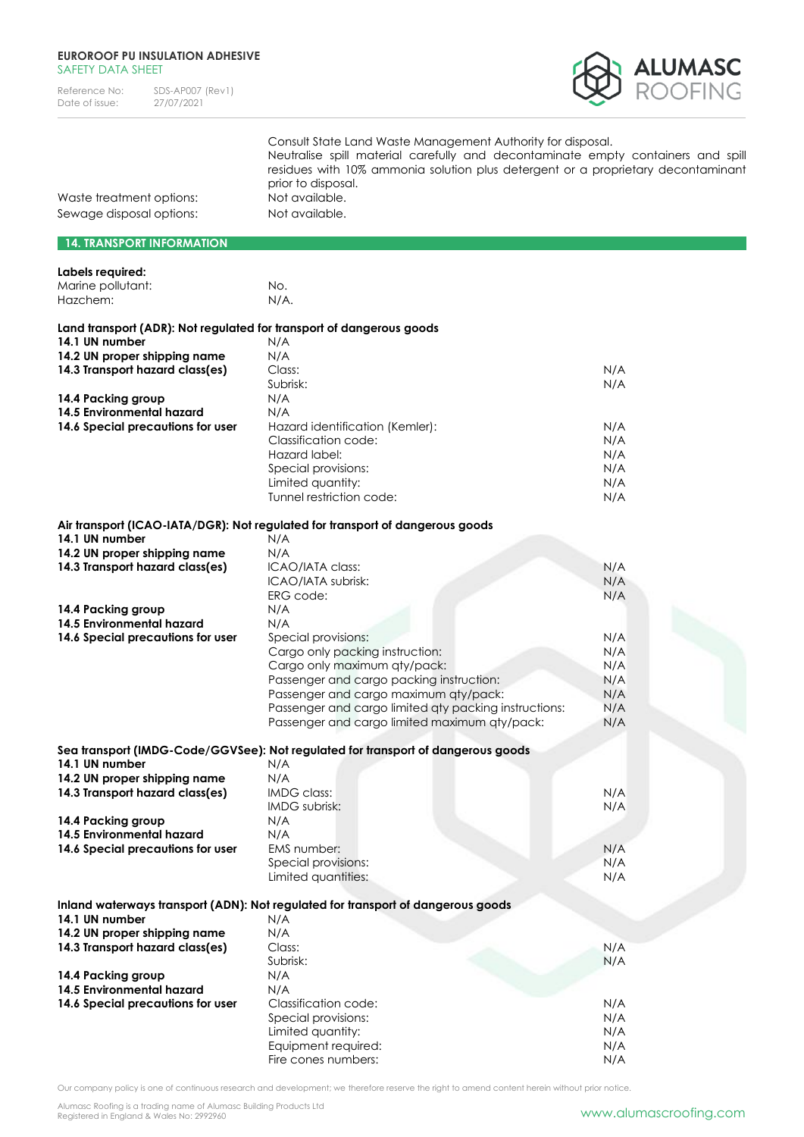| Reference No:  | SDS-AP007 (Rev1) |
|----------------|------------------|
| Date of issue: | 27/07/2021       |



|                          | Consult State Land Waste Management Authority for disposal.<br>Neutralise spill material carefully and decontaminate empty containers and spill<br>residues with 10% ammonia solution plus detergent or a proprietary decontaminant<br>prior to disposal. |
|--------------------------|-----------------------------------------------------------------------------------------------------------------------------------------------------------------------------------------------------------------------------------------------------------|
| Waste treatment options: | Not available.                                                                                                                                                                                                                                            |
| Sewage disposal options: | Not available.                                                                                                                                                                                                                                            |

# **14. TRANSPORT INFORMATION**

| Labels required:                                                     |                                                                                  |     |
|----------------------------------------------------------------------|----------------------------------------------------------------------------------|-----|
| Marine pollutant:                                                    | No.                                                                              |     |
| Hazchem:                                                             | N/A.                                                                             |     |
|                                                                      |                                                                                  |     |
| Land transport (ADR): Not regulated for transport of dangerous goods |                                                                                  |     |
| 14.1 UN number                                                       | N/A                                                                              |     |
| 14.2 UN proper shipping name                                         | N/A                                                                              |     |
| 14.3 Transport hazard class(es)                                      | Class:                                                                           | N/A |
|                                                                      | Subrisk:                                                                         | N/A |
| 14.4 Packing group                                                   | N/A                                                                              |     |
| 14.5 Environmental hazard                                            | N/A                                                                              |     |
| 14.6 Special precautions for user                                    | Hazard identification (Kemler):                                                  | N/A |
|                                                                      | Classification code:                                                             | N/A |
|                                                                      | Hazard label:                                                                    | N/A |
|                                                                      | Special provisions:                                                              | N/A |
|                                                                      | Limited quantity:                                                                | N/A |
|                                                                      | Tunnel restriction code:                                                         | N/A |
|                                                                      | Air transport (ICAO-IATA/DGR): Not regulated for transport of dangerous goods    |     |
| 14.1 UN number                                                       | N/A                                                                              |     |
| 14.2 UN proper shipping name                                         | N/A                                                                              |     |
| 14.3 Transport hazard class(es)                                      | ICAO/IATA class:                                                                 | N/A |
|                                                                      | ICAO/IATA subrisk:                                                               | N/A |
|                                                                      | ERG code:                                                                        | N/A |
| 14.4 Packing group                                                   | N/A                                                                              |     |
| 14.5 Environmental hazard                                            | N/A                                                                              |     |
| 14.6 Special precautions for user                                    | Special provisions:                                                              | N/A |
|                                                                      | Cargo only packing instruction:                                                  | N/A |
|                                                                      | Cargo only maximum qty/pack:                                                     | N/A |
|                                                                      | Passenger and cargo packing instruction:                                         | N/A |
|                                                                      | Passenger and cargo maximum qty/pack:                                            | N/A |
|                                                                      | Passenger and cargo limited aty packing instructions:                            | N/A |
|                                                                      | Passenger and cargo limited maximum qty/pack:                                    | N/A |
|                                                                      | Sea transport (IMDG-Code/GGVSee): Not regulated for transport of dangerous goods |     |
| 14.1 UN number                                                       | N/A                                                                              |     |
| 14.2 UN proper shipping name                                         | N/A                                                                              |     |
| 14.3 Transport hazard class(es)                                      | IMDG class:                                                                      | N/A |
|                                                                      | IMDG subrisk:                                                                    | N/A |
| 14.4 Packing group                                                   | N/A                                                                              |     |
| 14.5 Environmental hazard                                            | N/A                                                                              |     |
| 14.6 Special precautions for user                                    | EMS number:                                                                      | N/A |
|                                                                      | Special provisions:                                                              | N/A |
|                                                                      | Limited quantities:                                                              | N/A |
|                                                                      | Inland waterways transport (ADN): Not regulated for transport of dangerous goods |     |
| 14.1 UN number                                                       | N/A                                                                              |     |
| 14.2 UN proper shipping name                                         | N/A                                                                              |     |
| 14.3 Transport hazard class(es)                                      | Class:                                                                           | N/A |
|                                                                      | Subrisk:                                                                         | N/A |
| 14.4 Packing group                                                   | N/A                                                                              |     |
| 14.5 Environmental hazard                                            | N/A                                                                              |     |
| 14.6 Special precautions for user                                    | Classification code:                                                             | N/A |
|                                                                      | Special provisions:                                                              | N/A |
|                                                                      | Limited quantity:                                                                | N/A |

Our company policy is one of continuous research and development; we therefore reserve the right to amend content herein without prior notice.

Equipment required: N/A Fire cones numbers: N/A

Limited quantity:

Alumasc Roofing is a trading name of Alumasc Building Products Ltd<br>Registered in England & Wales No: 2992960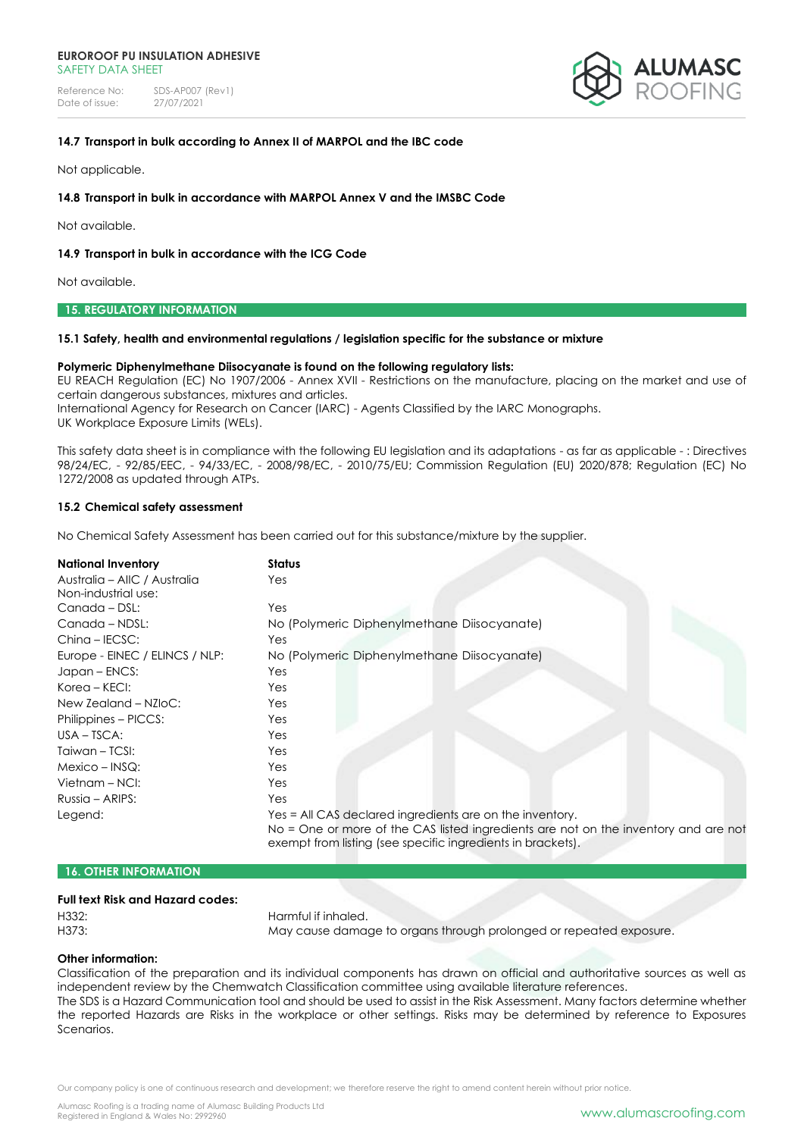Reference No: SDS-AP007 (Rev1)<br>Date of issue: 27/07/2021 Date of issue:



## **14.7 Transport in bulk according to Annex II of MARPOL and the IBC code**

Not applicable.

## **14.8 Transport in bulk in accordance with MARPOL Annex V and the IMSBC Code**

Not available.

### **14.9 Transport in bulk in accordance with the ICG Code**

Not available.

# **15. REGULATORY INFORMATION**

#### **15.1 Safety, health and environmental regulations / legislation specific for the substance or mixture**

#### **Polymeric Diphenylmethane Diisocyanate is found on the following regulatory lists:**

EU REACH Regulation (EC) No 1907/2006 - Annex XVII - Restrictions on the manufacture, placing on the market and use of certain dangerous substances, mixtures and articles. International Agency for Research on Cancer (IARC) - Agents Classified by the IARC Monographs.

UK Workplace Exposure Limits (WELs).

This safety data sheet is in compliance with the following EU legislation and its adaptations - as far as applicable - : Directives 98/24/EC, - 92/85/EEC, - 94/33/EC, - 2008/98/EC, - 2010/75/EU; Commission Regulation (EU) 2020/878; Regulation (EC) No 1272/2008 as updated through ATPs.

#### **15.2 Chemical safety assessment**

No Chemical Safety Assessment has been carried out for this substance/mixture by the supplier.

| <b>National Inventory</b>      | Status                                                                                                                                             |
|--------------------------------|----------------------------------------------------------------------------------------------------------------------------------------------------|
| Australia – AIIC / Australia   | Yes                                                                                                                                                |
| Non-industrial use:            |                                                                                                                                                    |
| Canada - DSL:                  | Yes                                                                                                                                                |
| Canada - NDSL:                 | No (Polymeric Diphenylmethane Diisocyanate)                                                                                                        |
| Ching - IECSC:                 | Yes                                                                                                                                                |
| Europe - EINEC / ELINCS / NLP: | No (Polymeric Diphenylmethane Diisocyanate)                                                                                                        |
| Japan - ENCS:                  | Yes                                                                                                                                                |
| Korea – KECI:                  | Yes                                                                                                                                                |
| New Zealand - NZloC:           | Yes                                                                                                                                                |
| Philippines - PICCS:           | Yes                                                                                                                                                |
| $USA - TSCA:$                  | Yes                                                                                                                                                |
| Taiwan - TCSI:                 | Yes                                                                                                                                                |
| $Mexico - INSQ:$               | Yes                                                                                                                                                |
| Vietnam – NCI:                 | Yes                                                                                                                                                |
| Russia - ARIPS:                | Yes                                                                                                                                                |
| Legend:                        | Yes = All CAS declared ingredients are on the inventory.                                                                                           |
|                                | No = One or more of the CAS listed ingredients are not on the inventory and are not<br>exempt from listing (see specific ingredients in brackets). |

### **16. OTHER INFORMATION**

## **Full text Risk and Hazard codes:**

H332: Harmful if inhaled.

H373: May cause damage to organs through prolonged or repeated exposure.

## **Other information:**

Classification of the preparation and its individual components has drawn on official and authoritative sources as well as independent review by the Chemwatch Classification committee using available literature references.

The SDS is a Hazard Communication tool and should be used to assist in the Risk Assessment. Many factors determine whether the reported Hazards are Risks in the workplace or other settings. Risks may be determined by reference to Exposures Scenarios.